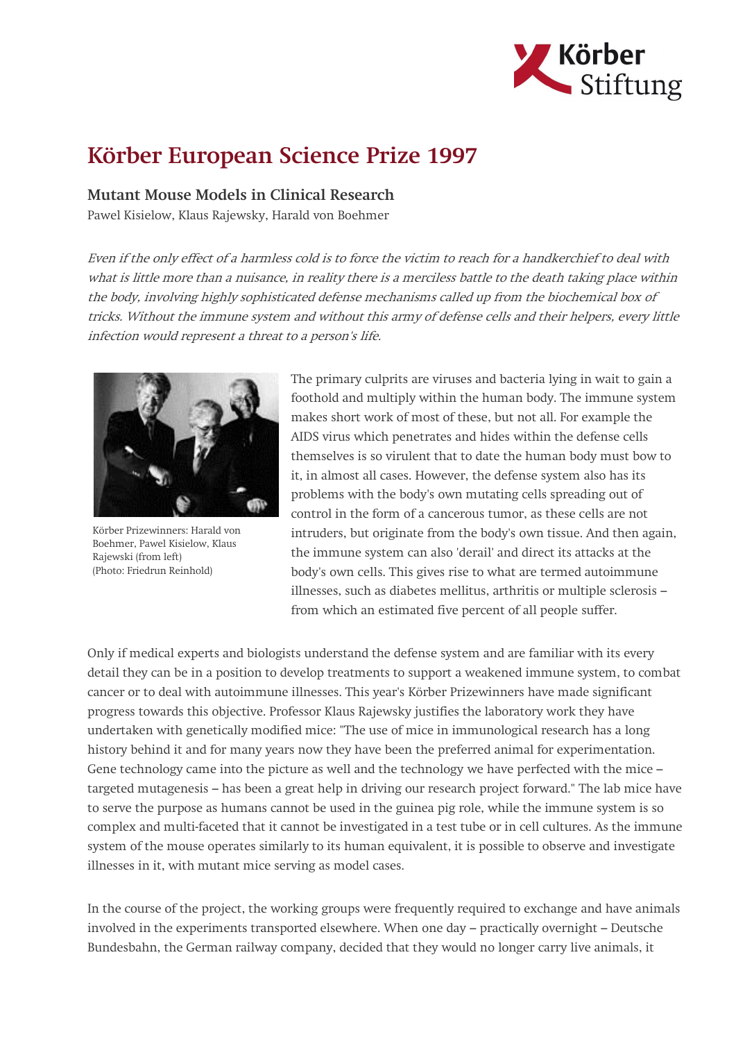

## Körber European Science Prize 1997

## Mutant Mouse Models in Clinical Research

Pawel Kisielow, Klaus Rajewsky, Harald von Boehmer

Even if the only effect of a harmless cold is to force the victim to reach for a handkerchief to deal with what is little more than a nuisance, in reality there is a merciless battle to the death taking place within the body, involving highly sophisticated defense mechanisms called up from the biochemical box of tricks. Without the immune system and without this army of defense cells and their helpers, every little infection would represent a threat to a person's life.



Körber Prizewinners: Harald von Boehmer, Pawel Kisielow, Klaus Rajewski (from left) (Photo: Friedrun Reinhold)

The primary culprits are viruses and bacteria lying in wait to gain a foothold and multiply within the human body. The immune system makes short work of most of these, but not all. For example the AIDS virus which penetrates and hides within the defense cells themselves is so virulent that to date the human body must bow to it, in almost all cases. However, the defense system also has its problems with the body's own mutating cells spreading out of control in the form of a cancerous tumor, as these cells are not intruders, but originate from the body's own tissue. And then again, the immune system can also 'derail' and direct its attacks at the body's own cells. This gives rise to what are termed autoimmune illnesses, such as diabetes mellitus, arthritis or multiple sclerosis – from which an estimated five percent of all people suffer.

Only if medical experts and biologists understand the defense system and are familiar with its every detail they can be in a position to develop treatments to support a weakened immune system, to combat cancer or to deal with autoimmune illnesses. This year's Körber Prizewinners have made significant progress towards this objective. Professor Klaus Rajewsky justifies the laboratory work they have undertaken with genetically modified mice: "The use of mice in immunological research has a long history behind it and for many years now they have been the preferred animal for experimentation. Gene technology came into the picture as well and the technology we have perfected with the mice – targeted mutagenesis – has been a great help in driving our research project forward." The lab mice have to serve the purpose as humans cannot be used in the guinea pig role, while the immune system is so complex and multi-faceted that it cannot be investigated in a test tube or in cell cultures. As the immune system of the mouse operates similarly to its human equivalent, it is possible to observe and investigate illnesses in it, with mutant mice serving as model cases.

In the course of the project, the working groups were frequently required to exchange and have animals involved in the experiments transported elsewhere. When one day – practically overnight – Deutsche Bundesbahn, the German railway company, decided that they would no longer carry live animals, it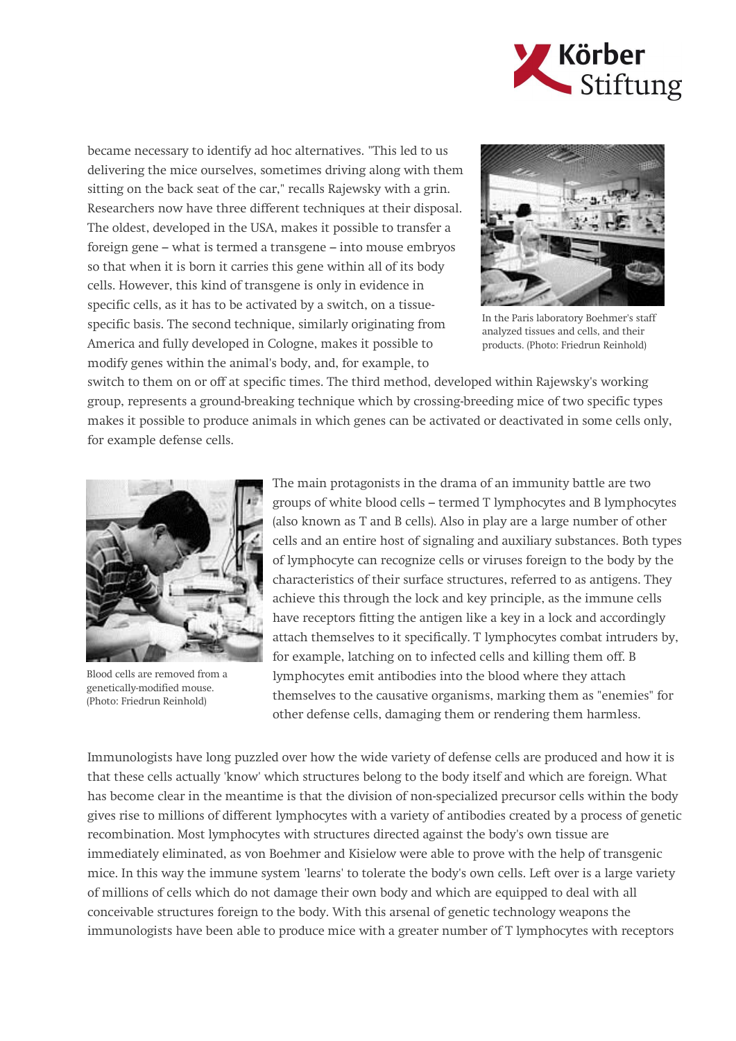

became necessary to identify ad hoc alternatives. "This led to us delivering the mice ourselves, sometimes driving along with them sitting on the back seat of the car," recalls Rajewsky with a grin. Researchers now have three different techniques at their disposal. The oldest, developed in the USA, makes it possible to transfer a foreign gene – what is termed a transgene – into mouse embryos so that when it is born it carries this gene within all of its body cells. However, this kind of transgene is only in evidence in specific cells, as it has to be activated by a switch, on a tissuespecific basis. The second technique, similarly originating from America and fully developed in Cologne, makes it possible to modify genes within the animal's body, and, for example, to



In the Paris laboratory Boehmer's staff analyzed tissues and cells, and their products. (Photo: Friedrun Reinhold)

switch to them on or off at specific times. The third method, developed within Rajewsky's working group, represents a ground-breaking technique which by crossing-breeding mice of two specific types makes it possible to produce animals in which genes can be activated or deactivated in some cells only, for example defense cells.



Blood cells are removed from a genetically-modified mouse. (Photo: Friedrun Reinhold)

The main protagonists in the drama of an immunity battle are two groups of white blood cells – termed T lymphocytes and B lymphocytes (also known as T and B cells). Also in play are a large number of other cells and an entire host of signaling and auxiliary substances. Both types of lymphocyte can recognize cells or viruses foreign to the body by the characteristics of their surface structures, referred to as antigens. They achieve this through the lock and key principle, as the immune cells have receptors fitting the antigen like a key in a lock and accordingly attach themselves to it specifically. T lymphocytes combat intruders by, for example, latching on to infected cells and killing them off. B lymphocytes emit antibodies into the blood where they attach themselves to the causative organisms, marking them as "enemies" for other defense cells, damaging them or rendering them harmless.

Immunologists have long puzzled over how the wide variety of defense cells are produced and how it is that these cells actually 'know' which structures belong to the body itself and which are foreign. What has become clear in the meantime is that the division of non-specialized precursor cells within the body gives rise to millions of different lymphocytes with a variety of antibodies created by a process of genetic recombination. Most lymphocytes with structures directed against the body's own tissue are immediately eliminated, as von Boehmer and Kisielow were able to prove with the help of transgenic mice. In this way the immune system 'learns' to tolerate the body's own cells. Left over is a large variety of millions of cells which do not damage their own body and which are equipped to deal with all conceivable structures foreign to the body. With this arsenal of genetic technology weapons the immunologists have been able to produce mice with a greater number of T lymphocytes with receptors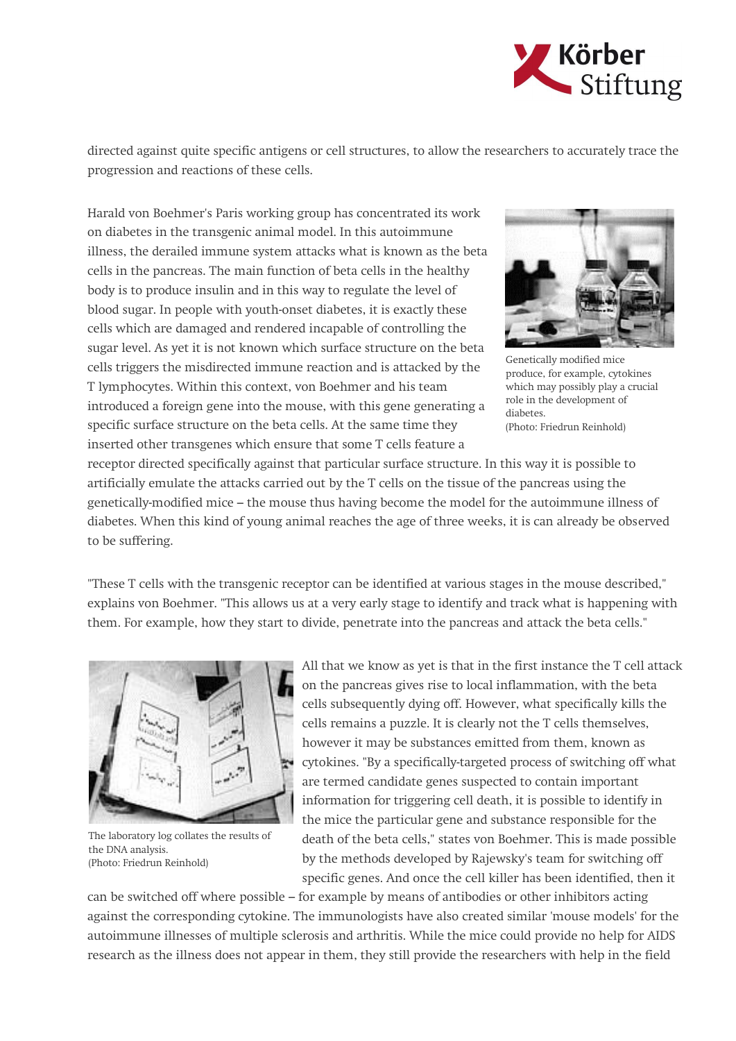

directed against quite specific antigens or cell structures, to allow the researchers to accurately trace the progression and reactions of these cells.

Harald von Boehmer's Paris working group has concentrated its work on diabetes in the transgenic animal model. In this autoimmune illness, the derailed immune system attacks what is known as the beta cells in the pancreas. The main function of beta cells in the healthy body is to produce insulin and in this way to regulate the level of blood sugar. In people with youth-onset diabetes, it is exactly these cells which are damaged and rendered incapable of controlling the sugar level. As yet it is not known which surface structure on the beta cells triggers the misdirected immune reaction and is attacked by the T lymphocytes. Within this context, von Boehmer and his team introduced a foreign gene into the mouse, with this gene generating a specific surface structure on the beta cells. At the same time they inserted other transgenes which ensure that some T cells feature a



Genetically modified mice produce, for example, cytokines which may possibly play a crucial role in the development of diabetes. (Photo: Friedrun Reinhold)

receptor directed specifically against that particular surface structure. In this way it is possible to artificially emulate the attacks carried out by the T cells on the tissue of the pancreas using the genetically-modified mice – the mouse thus having become the model for the autoimmune illness of diabetes. When this kind of young animal reaches the age of three weeks, it is can already be observed to be suffering.

"These T cells with the transgenic receptor can be identified at various stages in the mouse described," explains von Boehmer. "This allows us at a very early stage to identify and track what is happening with them. For example, how they start to divide, penetrate into the pancreas and attack the beta cells."



The laboratory log collates the results of the DNA analysis. (Photo: Friedrun Reinhold)

All that we know as yet is that in the first instance the T cell attack on the pancreas gives rise to local inflammation, with the beta cells subsequently dying off. However, what specifically kills the cells remains a puzzle. It is clearly not the T cells themselves, however it may be substances emitted from them, known as cytokines. "By a specifically-targeted process of switching off what are termed candidate genes suspected to contain important information for triggering cell death, it is possible to identify in the mice the particular gene and substance responsible for the death of the beta cells," states von Boehmer. This is made possible by the methods developed by Rajewsky's team for switching off specific genes. And once the cell killer has been identified, then it

can be switched off where possible – for example by means of antibodies or other inhibitors acting against the corresponding cytokine. The immunologists have also created similar 'mouse models' for the autoimmune illnesses of multiple sclerosis and arthritis. While the mice could provide no help for AIDS research as the illness does not appear in them, they still provide the researchers with help in the field